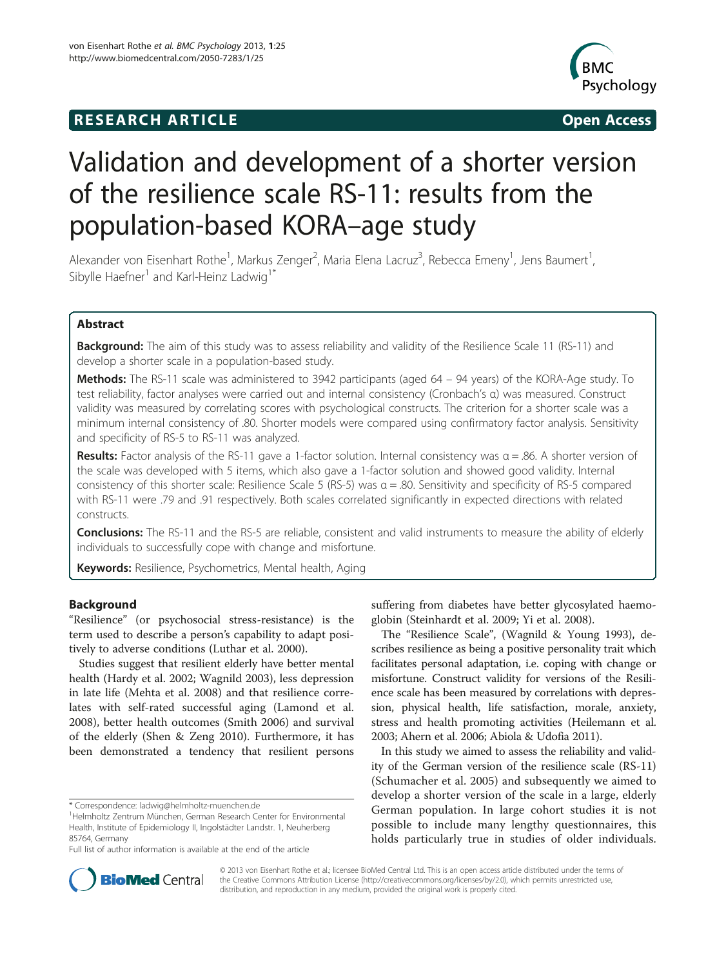# **RESEARCH ARTICLE CONSUMING A RESEARCH ARTICLE**



# Validation and development of a shorter version of the resilience scale RS-11: results from the population-based KORA–age study

Alexander von Eisenhart Rothe<sup>1</sup>, Markus Zenger<sup>2</sup>, Maria Elena Lacruz<sup>3</sup>, Rebecca Emeny<sup>1</sup>, Jens Baumert<sup>1</sup> , Sibylle Haefner<sup>1</sup> and Karl-Heinz Ladwig<sup>1\*</sup>

# Abstract

Background: The aim of this study was to assess reliability and validity of the Resilience Scale 11 (RS-11) and develop a shorter scale in a population-based study.

Methods: The RS-11 scale was administered to 3942 participants (aged 64 – 94 years) of the KORA-Age study. To test reliability, factor analyses were carried out and internal consistency (Cronbach's α) was measured. Construct validity was measured by correlating scores with psychological constructs. The criterion for a shorter scale was a minimum internal consistency of .80. Shorter models were compared using confirmatory factor analysis. Sensitivity and specificity of RS-5 to RS-11 was analyzed.

Results: Factor analysis of the RS-11 gave a 1-factor solution. Internal consistency was  $\alpha$  = .86. A shorter version of the scale was developed with 5 items, which also gave a 1-factor solution and showed good validity. Internal consistency of this shorter scale: Resilience Scale 5 (RS-5) was  $\alpha$  = .80. Sensitivity and specificity of RS-5 compared with RS-11 were .79 and .91 respectively. Both scales correlated significantly in expected directions with related constructs.

**Conclusions:** The RS-11 and the RS-5 are reliable, consistent and valid instruments to measure the ability of elderly individuals to successfully cope with change and misfortune.

Keywords: Resilience, Psychometrics, Mental health, Aging

# Background

"Resilience" (or psychosocial stress-resistance) is the term used to describe a person's capability to adapt positively to adverse conditions (Luthar et al. [2000](#page-6-0)).

Studies suggest that resilient elderly have better mental health (Hardy et al. [2002;](#page-6-0) Wagnild [2003](#page-6-0)), less depression in late life (Mehta et al. [2008\)](#page-6-0) and that resilience correlates with self-rated successful aging (Lamond et al. [2008](#page-6-0)), better health outcomes (Smith [2006](#page-6-0)) and survival of the elderly (Shen & Zeng [2010\)](#page-6-0). Furthermore, it has been demonstrated a tendency that resilient persons

suffering from diabetes have better glycosylated haemoglobin (Steinhardt et al. [2009;](#page-6-0) Yi et al. [2008\)](#page-6-0).

The "Resilience Scale", (Wagnild & Young [1993\)](#page-6-0), describes resilience as being a positive personality trait which facilitates personal adaptation, i.e. coping with change or misfortune. Construct validity for versions of the Resilience scale has been measured by correlations with depression, physical health, life satisfaction, morale, anxiety, stress and health promoting activities (Heilemann et al. [2003](#page-6-0); Ahern et al. [2006](#page-5-0); Abiola & Udofia [2011\)](#page-5-0).

In this study we aimed to assess the reliability and validity of the German version of the resilience scale (RS-11) (Schumacher et al. [2005\)](#page-6-0) and subsequently we aimed to develop a shorter version of the scale in a large, elderly German population. In large cohort studies it is not possible to include many lengthy questionnaires, this holds particularly true in studies of older individuals.



© 2013 von Eisenhart Rothe et al.; licensee BioMed Central Ltd. This is an open access article distributed under the terms of the Creative Commons Attribution License [\(http://creativecommons.org/licenses/by/2.0\)](http://creativecommons.org/licenses/by/2.0), which permits unrestricted use, distribution, and reproduction in any medium, provided the original work is properly cited.

<sup>\*</sup> Correspondence: [ladwig@helmholtz-muenchen.de](mailto:ladwig@helmholtz-muenchen.de) <sup>1</sup>

Helmholtz Zentrum München, German Research Center for Environmental Health, Institute of Epidemiology II, Ingolstädter Landstr. 1, Neuherberg 85764, Germany

Full list of author information is available at the end of the article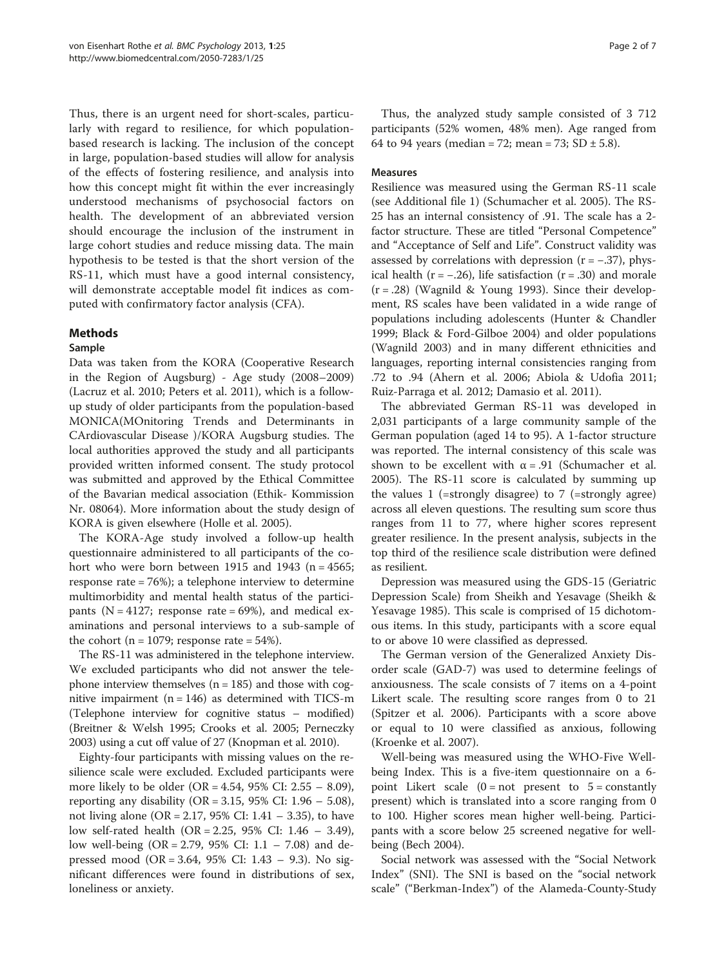Thus, there is an urgent need for short-scales, particularly with regard to resilience, for which populationbased research is lacking. The inclusion of the concept in large, population-based studies will allow for analysis of the effects of fostering resilience, and analysis into how this concept might fit within the ever increasingly understood mechanisms of psychosocial factors on health. The development of an abbreviated version should encourage the inclusion of the instrument in large cohort studies and reduce missing data. The main hypothesis to be tested is that the short version of the RS-11, which must have a good internal consistency, will demonstrate acceptable model fit indices as computed with confirmatory factor analysis (CFA).

# Methods

# Sample

Data was taken from the KORA (Cooperative Research in the Region of Augsburg) - Age study (2008–2009) (Lacruz et al. [2010](#page-6-0); Peters et al. [2011](#page-6-0)), which is a followup study of older participants from the population-based MONICA(MOnitoring Trends and Determinants in CArdiovascular Disease )/KORA Augsburg studies. The local authorities approved the study and all participants provided written informed consent. The study protocol was submitted and approved by the Ethical Committee of the Bavarian medical association (Ethik- Kommission Nr. 08064). More information about the study design of KORA is given elsewhere (Holle et al. [2005](#page-6-0)).

The KORA-Age study involved a follow-up health questionnaire administered to all participants of the cohort who were born between 1915 and 1943 ( $n = 4565$ ; response rate = 76%); a telephone interview to determine multimorbidity and mental health status of the participants ( $N = 4127$ ; response rate = 69%), and medical examinations and personal interviews to a sub-sample of the cohort ( $n = 1079$ ; response rate  $= 54\%$ ).

The RS-11 was administered in the telephone interview. We excluded participants who did not answer the telephone interview themselves  $(n = 185)$  and those with cognitive impairment  $(n = 146)$  as determined with TICS-m (Telephone interview for cognitive status – modified) (Breitner & Welsh [1995](#page-6-0); Crooks et al. [2005](#page-6-0); Perneczky [2003\)](#page-6-0) using a cut off value of 27 (Knopman et al. [2010](#page-6-0)).

Eighty-four participants with missing values on the resilience scale were excluded. Excluded participants were more likely to be older (OR = 4.54, 95% CI: 2.55 – 8.09), reporting any disability (OR = 3.15, 95% CI:  $1.96 - 5.08$ ), not living alone (OR = 2.17, 95% CI: 1.41 – 3.35), to have low self-rated health (OR = 2.25, 95% CI: 1.46 – 3.49), low well-being (OR = 2.79, 95% CI:  $1.1 - 7.08$ ) and depressed mood (OR = 3.64, 95% CI: 1.43 – 9.3). No significant differences were found in distributions of sex, loneliness or anxiety.

Thus, the analyzed study sample consisted of 3 712 participants (52% women, 48% men). Age ranged from 64 to 94 years (median = 72; mean = 73; SD  $\pm$  5.8).

# Measures

Resilience was measured using the German RS-11 scale (see Additional file [1](#page-5-0)) (Schumacher et al. [2005\)](#page-6-0). The RS-25 has an internal consistency of .91. The scale has a 2 factor structure. These are titled "Personal Competence" and "Acceptance of Self and Life". Construct validity was assessed by correlations with depression  $(r = -.37)$ , physical health ( $r = -.26$ ), life satisfaction ( $r = .30$ ) and morale  $(r = .28)$  (Wagnild & Young [1993\)](#page-6-0). Since their development, RS scales have been validated in a wide range of populations including adolescents (Hunter & Chandler [1999](#page-6-0); Black & Ford-Gilboe [2004](#page-6-0)) and older populations (Wagnild [2003](#page-6-0)) and in many different ethnicities and languages, reporting internal consistencies ranging from .72 to .94 (Ahern et al. [2006;](#page-5-0) Abiola & Udofia [2011](#page-5-0); Ruiz-Parraga et al. [2012](#page-6-0); Damasio et al. [2011](#page-6-0)).

The abbreviated German RS-11 was developed in 2,031 participants of a large community sample of the German population (aged 14 to 95). A 1-factor structure was reported. The internal consistency of this scale was shown to be excellent with  $\alpha = .91$  (Schumacher et al. [2005](#page-6-0)). The RS-11 score is calculated by summing up the values 1 (=strongly disagree) to 7 (=strongly agree) across all eleven questions. The resulting sum score thus ranges from 11 to 77, where higher scores represent greater resilience. In the present analysis, subjects in the top third of the resilience scale distribution were defined as resilient.

Depression was measured using the GDS-15 (Geriatric Depression Scale) from Sheikh and Yesavage (Sheikh & Yesavage [1985](#page-6-0)). This scale is comprised of 15 dichotomous items. In this study, participants with a score equal to or above 10 were classified as depressed.

The German version of the Generalized Anxiety Disorder scale (GAD-7) was used to determine feelings of anxiousness. The scale consists of 7 items on a 4-point Likert scale. The resulting score ranges from 0 to 21 (Spitzer et al. [2006](#page-6-0)). Participants with a score above or equal to 10 were classified as anxious, following (Kroenke et al. [2007](#page-6-0)).

Well-being was measured using the WHO-Five Wellbeing Index. This is a five-item questionnaire on a 6 point Likert scale  $(0 = not$  present to  $5 = constant$ present) which is translated into a score ranging from 0 to 100. Higher scores mean higher well-being. Participants with a score below 25 screened negative for wellbeing (Bech [2004\)](#page-6-0).

Social network was assessed with the "Social Network Index" (SNI). The SNI is based on the "social network scale" ("Berkman-Index") of the Alameda-County-Study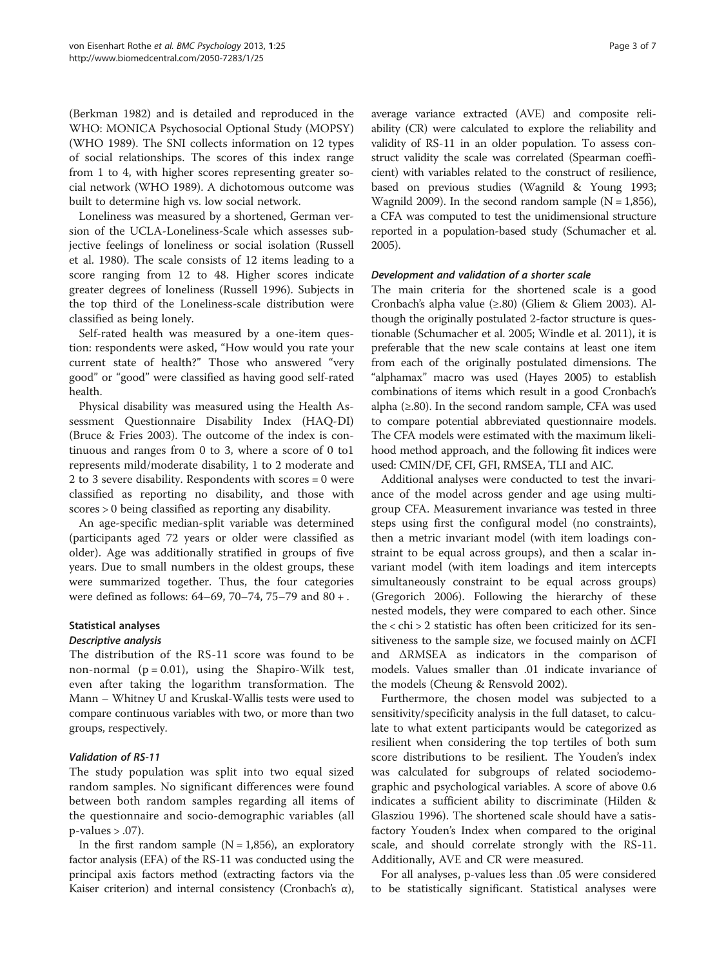(Berkman [1982\)](#page-6-0) and is detailed and reproduced in the WHO: MONICA Psychosocial Optional Study (MOPSY) (WHO [1989](#page-6-0)). The SNI collects information on 12 types of social relationships. The scores of this index range from 1 to 4, with higher scores representing greater social network (WHO [1989\)](#page-6-0). A dichotomous outcome was built to determine high vs. low social network.

Loneliness was measured by a shortened, German version of the UCLA-Loneliness-Scale which assesses subjective feelings of loneliness or social isolation (Russell et al. [1980\)](#page-6-0). The scale consists of 12 items leading to a score ranging from 12 to 48. Higher scores indicate greater degrees of loneliness (Russell [1996](#page-6-0)). Subjects in the top third of the Loneliness-scale distribution were classified as being lonely.

Self-rated health was measured by a one-item question: respondents were asked, "How would you rate your current state of health?" Those who answered "very good" or "good" were classified as having good self-rated health.

Physical disability was measured using the Health Assessment Questionnaire Disability Index (HAQ-DI) (Bruce & Fries [2003](#page-6-0)). The outcome of the index is continuous and ranges from 0 to 3, where a score of 0 to1 represents mild/moderate disability, 1 to 2 moderate and 2 to 3 severe disability. Respondents with scores = 0 were classified as reporting no disability, and those with scores > 0 being classified as reporting any disability.

An age-specific median-split variable was determined (participants aged 72 years or older were classified as older). Age was additionally stratified in groups of five years. Due to small numbers in the oldest groups, these were summarized together. Thus, the four categories were defined as follows: 64–69, 70–74, 75–79 and 80 + .

# Statistical analyses

# Descriptive analysis

The distribution of the RS-11 score was found to be non-normal  $(p = 0.01)$ , using the Shapiro-Wilk test, even after taking the logarithm transformation. The Mann – Whitney U and Kruskal-Wallis tests were used to compare continuous variables with two, or more than two groups, respectively.

# Validation of RS-11

The study population was split into two equal sized random samples. No significant differences were found between both random samples regarding all items of the questionnaire and socio-demographic variables (all  $p$ -values  $> .07$ ).

In the first random sample  $(N = 1,856)$ , an exploratory factor analysis (EFA) of the RS-11 was conducted using the principal axis factors method (extracting factors via the Kaiser criterion) and internal consistency (Cronbach's  $\alpha$ ),

average variance extracted (AVE) and composite reliability (CR) were calculated to explore the reliability and validity of RS-11 in an older population. To assess construct validity the scale was correlated (Spearman coefficient) with variables related to the construct of resilience, based on previous studies (Wagnild & Young [1993](#page-6-0); Wagnild [2009\)](#page-6-0). In the second random sample  $(N = 1,856)$ , a CFA was computed to test the unidimensional structure reported in a population-based study (Schumacher et al. [2005\)](#page-6-0).

#### Development and validation of a shorter scale

The main criteria for the shortened scale is a good Cronbach's alpha value (≥.80) (Gliem & Gliem [2003](#page-6-0)). Although the originally postulated 2-factor structure is questionable (Schumacher et al. [2005;](#page-6-0) Windle et al. [2011\)](#page-6-0), it is preferable that the new scale contains at least one item from each of the originally postulated dimensions. The "alphamax" macro was used (Hayes [2005](#page-6-0)) to establish combinations of items which result in a good Cronbach's alpha  $(\geq.80)$ . In the second random sample, CFA was used to compare potential abbreviated questionnaire models. The CFA models were estimated with the maximum likelihood method approach, and the following fit indices were used: CMIN/DF, CFI, GFI, RMSEA, TLI and AIC.

Additional analyses were conducted to test the invariance of the model across gender and age using multigroup CFA. Measurement invariance was tested in three steps using first the configural model (no constraints), then a metric invariant model (with item loadings constraint to be equal across groups), and then a scalar invariant model (with item loadings and item intercepts simultaneously constraint to be equal across groups) (Gregorich [2006](#page-6-0)). Following the hierarchy of these nested models, they were compared to each other. Since the < chi > 2 statistic has often been criticized for its sensitiveness to the sample size, we focused mainly on  $\Delta$ CFI and ΔRMSEA as indicators in the comparison of models. Values smaller than .01 indicate invariance of the models (Cheung & Rensvold [2002](#page-6-0)).

Furthermore, the chosen model was subjected to a sensitivity/specificity analysis in the full dataset, to calculate to what extent participants would be categorized as resilient when considering the top tertiles of both sum score distributions to be resilient. The Youden's index was calculated for subgroups of related sociodemographic and psychological variables. A score of above 0.6 indicates a sufficient ability to discriminate (Hilden & Glasziou [1996\)](#page-6-0). The shortened scale should have a satisfactory Youden's Index when compared to the original scale, and should correlate strongly with the RS-11. Additionally, AVE and CR were measured.

For all analyses, p-values less than .05 were considered to be statistically significant. Statistical analyses were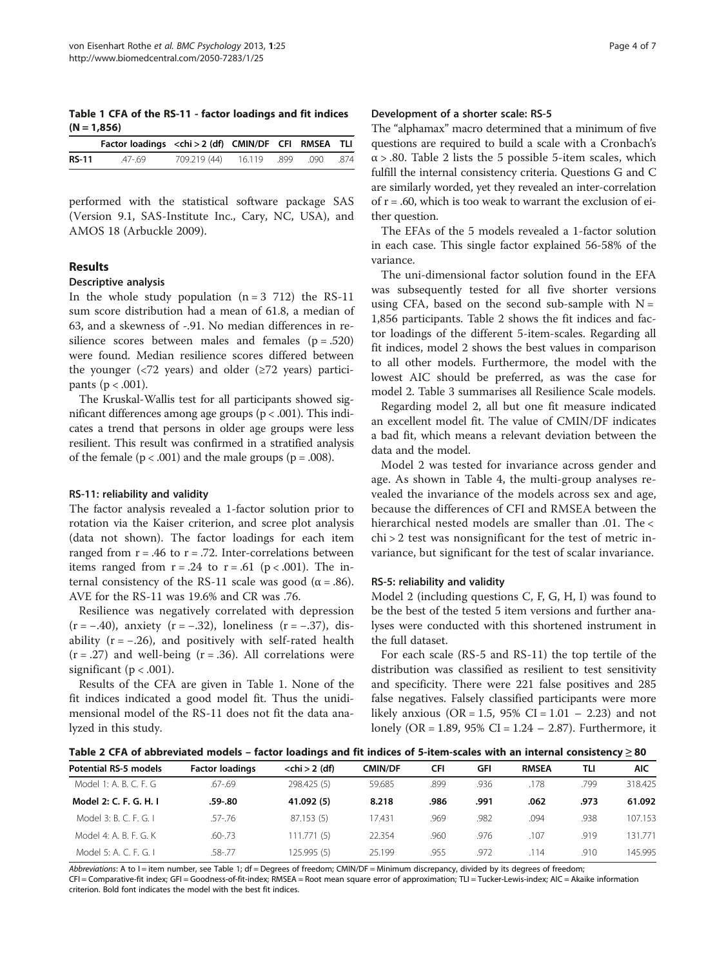Table 1 CFA of the RS-11 - factor loadings and fit indices  $(N = 1.856)$ 

|              | Factor loadings <chi> 2 (df) CMIN/DF CFI RMSEA TLI</chi> |              |            |      |      |
|--------------|----------------------------------------------------------|--------------|------------|------|------|
| <b>RS-11</b> | 47-69                                                    | 709.219 (44) | 16.119 899 | .090 | .874 |

performed with the statistical software package SAS (Version 9.1, SAS-Institute Inc., Cary, NC, USA), and AMOS 18 (Arbuckle [2009](#page-5-0)).

# Results

#### Descriptive analysis

In the whole study population  $(n = 3 \ 712)$  the RS-11 sum score distribution had a mean of 61.8, a median of 63, and a skewness of -.91. No median differences in resilience scores between males and females  $(p = .520)$ were found. Median resilience scores differed between the younger ( $\langle 72 \rangle$  years) and older ( $\geq 72 \rangle$  years) participants ( $p < .001$ ).

The Kruskal-Wallis test for all participants showed significant differences among age groups ( $p < .001$ ). This indicates a trend that persons in older age groups were less resilient. This result was confirmed in a stratified analysis of the female  $(p < .001)$  and the male groups  $(p = .008)$ .

#### RS-11: reliability and validity

The factor analysis revealed a 1-factor solution prior to rotation via the Kaiser criterion, and scree plot analysis (data not shown). The factor loadings for each item ranged from  $r = .46$  to  $r = .72$ . Inter-correlations between items ranged from  $r = .24$  to  $r = .61$  (p < .001). The internal consistency of the RS-11 scale was good ( $\alpha$  = .86). AVE for the RS-11 was 19.6% and CR was .76.

Resilience was negatively correlated with depression  $(r = -.40)$ , anxiety  $(r = -.32)$ , loneliness  $(r = -.37)$ , disability  $(r = -.26)$ , and positively with self-rated health  $(r = .27)$  and well-being  $(r = .36)$ . All correlations were significant ( $p < .001$ ).

Results of the CFA are given in Table 1. None of the fit indices indicated a good model fit. Thus the unidimensional model of the RS-11 does not fit the data analyzed in this study.

#### Development of a shorter scale: RS-5

The "alphamax" macro determined that a minimum of five questions are required to build a scale with a Cronbach's  $\alpha$  > .80. Table 2 lists the 5 possible 5-item scales, which fulfill the internal consistency criteria. Questions G and C are similarly worded, yet they revealed an inter-correlation of  $r = .60$ , which is too weak to warrant the exclusion of either question.

The EFAs of the 5 models revealed a 1-factor solution in each case. This single factor explained 56-58% of the variance.

The uni-dimensional factor solution found in the EFA was subsequently tested for all five shorter versions using CFA, based on the second sub-sample with  $N =$ 1,856 participants. Table 2 shows the fit indices and factor loadings of the different 5-item-scales. Regarding all fit indices, model 2 shows the best values in comparison to all other models. Furthermore, the model with the lowest AIC should be preferred, as was the case for model 2. Table [3](#page-4-0) summarises all Resilience Scale models.

Regarding model 2, all but one fit measure indicated an excellent model fit. The value of CMIN/DF indicates a bad fit, which means a relevant deviation between the data and the model.

Model 2 was tested for invariance across gender and age. As shown in Table [4](#page-4-0), the multi-group analyses revealed the invariance of the models across sex and age, because the differences of CFI and RMSEA between the hierarchical nested models are smaller than .01. The < chi > 2 test was nonsignificant for the test of metric invariance, but significant for the test of scalar invariance.

# RS-5: reliability and validity

Model 2 (including questions C, F, G, H, I) was found to be the best of the tested 5 item versions and further analyses were conducted with this shortened instrument in the full dataset.

For each scale (RS-5 and RS-11) the top tertile of the distribution was classified as resilient to test sensitivity and specificity. There were 221 false positives and 285 false negatives. Falsely classified participants were more likely anxious (OR = 1.5, 95% CI =  $1.01 - 2.23$ ) and not lonely (OR = 1.89, 95% CI =  $1.24 - 2.87$ ). Furthermore, it

Table 2 CFA of abbreviated models – factor loadings and fit indices of 5-item-scales with an internal consistency  $\geq$  80

| <b>Potential RS-5 models</b> | <b>Factor loadings</b> | $<$ chi $>$ 2 (df) | <b>CMIN/DF</b> | CFI  | GFI  | <b>RMSEA</b> | TLI  | AIC     |
|------------------------------|------------------------|--------------------|----------------|------|------|--------------|------|---------|
| Model 1: A. B. C. F. G       | $.67 - .69$            | 298.425 (5)        | 59.685         | .899 | .936 | .178         | .799 | 318.425 |
| Model 2: C. F. G. H. I       | .59-.80                | 41.092 (5)         | 8.218          | .986 | .991 | .062         | .973 | 61.092  |
| Model 3: B. C. F. G. I       | .57-.76                | 87.153(5)          | 17.431         | .969 | .982 | .094         | .938 | 107.153 |
| Model 4: A. B. F. G. K.      | $.60 - .73$            | 111.771(5)         | 22.354         | .960 | .976 | .107         | .919 | 131.771 |
| Model 5: A. C. F. G. L       | $.58 - .77$            | 125.995 (5)        | 25.199         | .955 | .972 | .114         | .910 | 145.995 |

Abbreviations: A to I = item number, see Table 1; df = Degrees of freedom; CMIN/DF = Minimum discrepancy, divided by its degrees of freedom; CFI = Comparative-fit index; GFI = Goodness-of-fit-index; RMSEA = Root mean square error of approximation; TLI = Tucker-Lewis-index; AIC = Akaike information criterion. Bold font indicates the model with the best fit indices.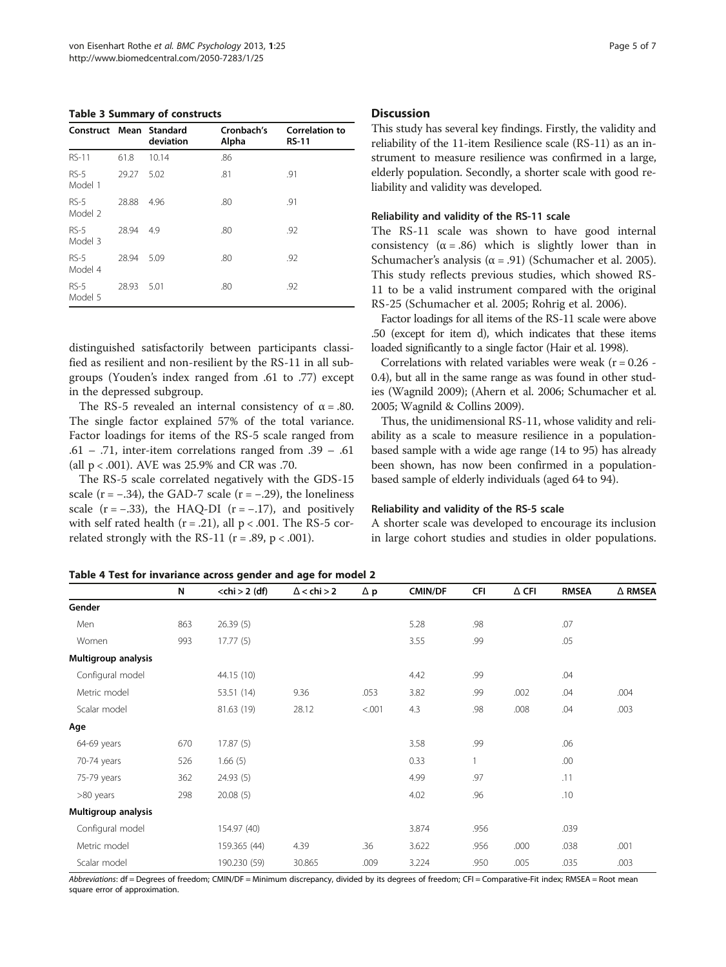<span id="page-4-0"></span>Table 3 Summary of constructs

| Construct         |       | Mean Standard<br>deviation | Cronbach's<br>Alpha | Correlation to<br><b>RS-11</b> |
|-------------------|-------|----------------------------|---------------------|--------------------------------|
| $RS-11$           | 61.8  | 10.14                      | .86                 |                                |
| $RS-5$<br>Model 1 | 29.27 | 5.02                       | .81                 | .91                            |
| $RS-5$<br>Model 2 | 28.88 | 4.96                       | .80                 | .91                            |
| $RS-5$<br>Model 3 | 28.94 | 4.9                        | .80                 | .92                            |
| $RS-5$<br>Model 4 | 28.94 | 5.09                       | .80                 | .92                            |
| $RS-5$<br>Model 5 | 28.93 | 5.01                       | .80                 | .92                            |

distinguished satisfactorily between participants classified as resilient and non-resilient by the RS-11 in all subgroups (Youden's index ranged from .61 to .77) except in the depressed subgroup.

The RS-5 revealed an internal consistency of  $\alpha = .80$ . The single factor explained 57% of the total variance. Factor loadings for items of the RS-5 scale ranged from .61 – .71, inter-item correlations ranged from .39 – .61 (all p < .001). AVE was 25.9% and CR was .70.

The RS-5 scale correlated negatively with the GDS-15 scale ( $r = -0.34$ ), the GAD-7 scale ( $r = -0.29$ ), the loneliness scale  $(r = -.33)$ , the HAQ-DI  $(r = -.17)$ , and positively with self rated health ( $r = .21$ ), all  $p < .001$ . The RS-5 correlated strongly with the RS-11 ( $r = .89$ ,  $p < .001$ ).

This study has several key findings. Firstly, the validity and reliability of the 11-item Resilience scale (RS-11) as an instrument to measure resilience was confirmed in a large, elderly population. Secondly, a shorter scale with good reliability and validity was developed.

#### Reliability and validity of the RS-11 scale

The RS-11 scale was shown to have good internal consistency  $(\alpha = .86)$  which is slightly lower than in Schumacher's analysis ( $\alpha$  = .91) (Schumacher et al. [2005](#page-6-0)). This study reflects previous studies, which showed RS-11 to be a valid instrument compared with the original RS-25 (Schumacher et al. [2005](#page-6-0); Rohrig et al. [2006\)](#page-6-0).

Factor loadings for all items of the RS-11 scale were above .50 (except for item d), which indicates that these items loaded significantly to a single factor (Hair et al. [1998\)](#page-6-0).

Correlations with related variables were weak ( $r = 0.26$  -0.4), but all in the same range as was found in other studies (Wagnild [2009](#page-6-0)); (Ahern et al. [2006;](#page-5-0) Schumacher et al. [2005](#page-6-0); Wagnild & Collins [2009\)](#page-6-0).

Thus, the unidimensional RS-11, whose validity and reliability as a scale to measure resilience in a populationbased sample with a wide age range (14 to 95) has already been shown, has now been confirmed in a populationbased sample of elderly individuals (aged 64 to 94).

#### Reliability and validity of the RS-5 scale

A shorter scale was developed to encourage its inclusion in large cohort studies and studies in older populations.

Table 4 Test for invariance across gender and age for model 2

|                     | N   | $<$ chi > 2 (df) | $\Delta$ < chi > 2 | $\Delta p$ | <b>CMIN/DF</b> | <b>CFI</b>   | $\Delta$ CFI | <b>RMSEA</b> | △ RMSEA |
|---------------------|-----|------------------|--------------------|------------|----------------|--------------|--------------|--------------|---------|
| Gender              |     |                  |                    |            |                |              |              |              |         |
| Men                 | 863 | 26.39(5)         |                    |            | 5.28           | .98          |              | .07          |         |
| Women               | 993 | 17.77(5)         |                    |            | 3.55           | .99          |              | .05          |         |
| Multigroup analysis |     |                  |                    |            |                |              |              |              |         |
| Configural model    |     | 44.15 (10)       |                    |            | 4.42           | .99          |              | .04          |         |
| Metric model        |     | 53.51 (14)       | 9.36               | .053       | 3.82           | .99          | .002         | .04          | .004    |
| Scalar model        |     | 81.63 (19)       | 28.12              | < .001     | 4.3            | .98          | .008         | .04          | .003    |
| Age                 |     |                  |                    |            |                |              |              |              |         |
| 64-69 years         | 670 | 17.87 (5)        |                    |            | 3.58           | .99          |              | .06          |         |
| 70-74 years         | 526 | 1.66(5)          |                    |            | 0.33           | $\mathbf{1}$ |              | .00          |         |
| 75-79 years         | 362 | 24.93(5)         |                    |            | 4.99           | .97          |              | .11          |         |
| >80 years           | 298 | 20.08(5)         |                    |            | 4.02           | .96          |              | .10          |         |
| Multigroup analysis |     |                  |                    |            |                |              |              |              |         |
| Configural model    |     | 154.97 (40)      |                    |            | 3.874          | .956         |              | .039         |         |
| Metric model        |     | 159.365 (44)     | 4.39               | .36        | 3.622          | .956         | .000         | .038         | .001    |
| Scalar model        |     | 190.230 (59)     | 30.865             | .009       | 3.224          | .950         | .005         | .035         | .003    |

Abbreviations: df = Degrees of freedom; CMIN/DF = Minimum discrepancy, divided by its degrees of freedom; CFI = Comparative-Fit index; RMSEA = Root mean square error of approximation.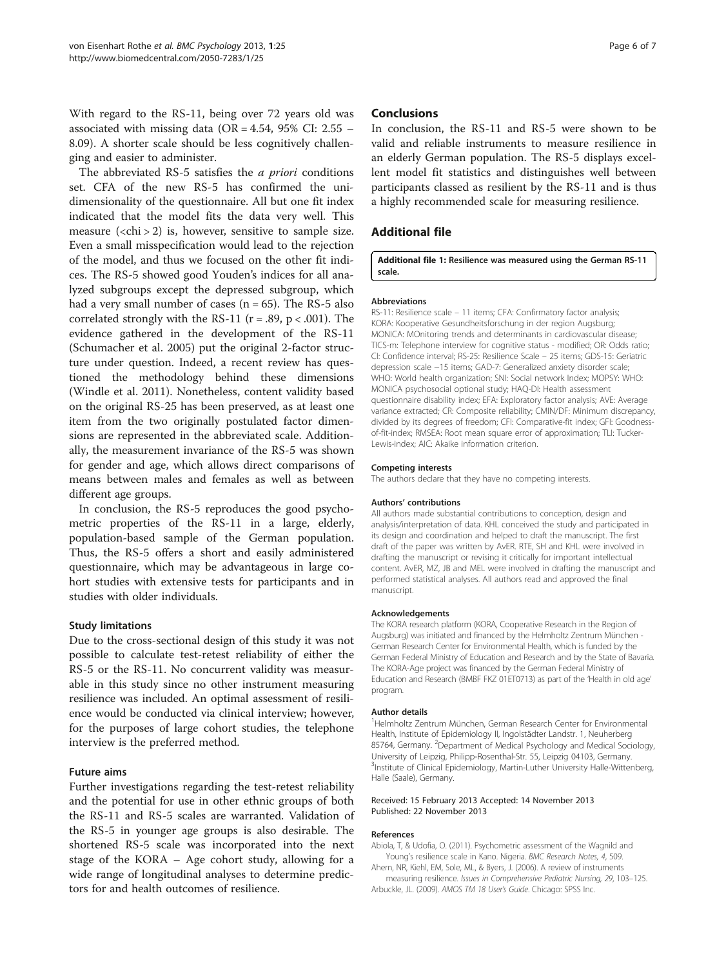<span id="page-5-0"></span>With regard to the RS-11, being over 72 years old was associated with missing data (OR =  $4.54$ ,  $95\%$  CI: 2.55 – 8.09). A shorter scale should be less cognitively challenging and easier to administer.

The abbreviated RS-5 satisfies the a priori conditions set. CFA of the new RS-5 has confirmed the unidimensionality of the questionnaire. All but one fit index indicated that the model fits the data very well. This measure  $(<$ chi > 2) is, however, sensitive to sample size. Even a small misspecification would lead to the rejection of the model, and thus we focused on the other fit indices. The RS-5 showed good Youden's indices for all analyzed subgroups except the depressed subgroup, which had a very small number of cases ( $n = 65$ ). The RS-5 also correlated strongly with the RS-11 ( $r = .89$ ,  $p < .001$ ). The evidence gathered in the development of the RS-11 (Schumacher et al. [2005\)](#page-6-0) put the original 2-factor structure under question. Indeed, a recent review has questioned the methodology behind these dimensions (Windle et al. [2011](#page-6-0)). Nonetheless, content validity based on the original RS-25 has been preserved, as at least one item from the two originally postulated factor dimensions are represented in the abbreviated scale. Additionally, the measurement invariance of the RS-5 was shown for gender and age, which allows direct comparisons of means between males and females as well as between different age groups.

In conclusion, the RS-5 reproduces the good psychometric properties of the RS-11 in a large, elderly, population-based sample of the German population. Thus, the RS-5 offers a short and easily administered questionnaire, which may be advantageous in large cohort studies with extensive tests for participants and in studies with older individuals.

#### Study limitations

Due to the cross-sectional design of this study it was not possible to calculate test-retest reliability of either the RS-5 or the RS-11. No concurrent validity was measurable in this study since no other instrument measuring resilience was included. An optimal assessment of resilience would be conducted via clinical interview; however, for the purposes of large cohort studies, the telephone interview is the preferred method.

#### Future aims

Further investigations regarding the test-retest reliability and the potential for use in other ethnic groups of both the RS-11 and RS-5 scales are warranted. Validation of the RS-5 in younger age groups is also desirable. The shortened RS-5 scale was incorporated into the next stage of the KORA – Age cohort study, allowing for a wide range of longitudinal analyses to determine predictors for and health outcomes of resilience.

### Conclusions

In conclusion, the RS-11 and RS-5 were shown to be valid and reliable instruments to measure resilience in an elderly German population. The RS-5 displays excellent model fit statistics and distinguishes well between participants classed as resilient by the RS-11 and is thus a highly recommended scale for measuring resilience.

# Additional file

[Additional file 1:](http://www.biomedcentral.com/content/supplementary/2050-7283-1-25-S1.doc) Resilience was measured using the German RS-11 scale.

#### Abbreviations

RS-11: Resilience scale – 11 items; CFA: Confirmatory factor analysis; KORA: Kooperative Gesundheitsforschung in der region Augsburg; MONICA: MOnitoring trends and determinants in cardiovascular disease; TICS-m: Telephone interview for cognitive status - modified; OR: Odds ratio; CI: Confidence interval; RS-25: Resilience Scale – 25 items; GDS-15: Geriatric depression scale −15 items; GAD-7: Generalized anxiety disorder scale; WHO: World health organization; SNI: Social network Index; MOPSY: WHO: MONICA psychosocial optional study; HAQ-DI: Health assessment questionnaire disability index; EFA: Exploratory factor analysis; AVE: Average variance extracted; CR: Composite reliability; CMIN/DF: Minimum discrepancy, divided by its degrees of freedom; CFI: Comparative-fit index; GFI: Goodnessof-fit-index; RMSEA: Root mean square error of approximation; TLI: Tucker-Lewis-index; AIC: Akaike information criterion.

#### Competing interests

The authors declare that they have no competing interests.

#### Authors' contributions

All authors made substantial contributions to conception, design and analysis/interpretation of data. KHL conceived the study and participated in its design and coordination and helped to draft the manuscript. The first draft of the paper was written by AvER. RTE, SH and KHL were involved in drafting the manuscript or revising it critically for important intellectual content. AvER, MZ, JB and MEL were involved in drafting the manuscript and performed statistical analyses. All authors read and approved the final manuscript.

#### Acknowledgements

The KORA research platform (KORA, Cooperative Research in the Region of Augsburg) was initiated and financed by the Helmholtz Zentrum München - German Research Center for Environmental Health, which is funded by the German Federal Ministry of Education and Research and by the State of Bavaria. The KORA-Age project was financed by the German Federal Ministry of Education and Research (BMBF FKZ 01ET0713) as part of the 'Health in old age' program.

#### Author details

<sup>1</sup>Helmholtz Zentrum München, German Research Center for Environmental Health, Institute of Epidemiology II, Ingolstädter Landstr. 1, Neuherberg 85764, Germany. <sup>2</sup> Department of Medical Psychology and Medical Sociology University of Leipzig, Philipp-Rosenthal-Str. 55, Leipzig 04103, Germany. <sup>3</sup>Institute of Clinical Epidemiology, Martin-Luther University Halle-Wittenberg, Halle (Saale), Germany.

#### Received: 15 February 2013 Accepted: 14 November 2013 Published: 22 November 2013

#### References

Abiola, T, & Udofia, O. (2011). Psychometric assessment of the Wagnild and Young's resilience scale in Kano. Nigeria. BMC Research Notes, 4, 509.

Ahern, NR, Kiehl, EM, Sole, ML, & Byers, J. (2006). A review of instruments measuring resilience. Issues in Comprehensive Pediatric Nursing, 29, 103–125. Arbuckle, JL. (2009). AMOS TM 18 User's Guide. Chicago: SPSS Inc.